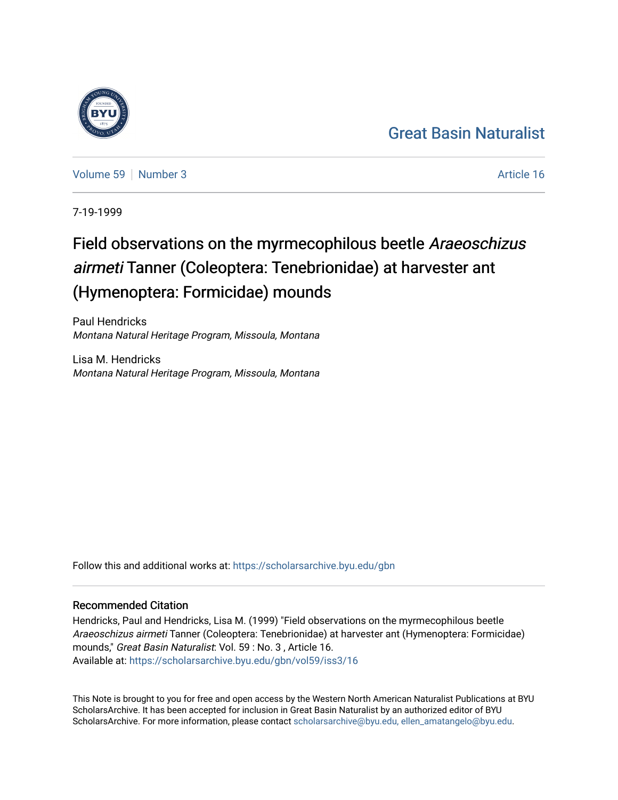#### [Great Basin Naturalist](https://scholarsarchive.byu.edu/gbn)

[Volume 59](https://scholarsarchive.byu.edu/gbn/vol59) [Number 3](https://scholarsarchive.byu.edu/gbn/vol59/iss3) Article 16

7-19-1999

### Field observations on the myrmecophilous beetle Araeoschizus airmeti Tanner (Coleoptera: Tenebrionidae) at harvester ant (Hymenoptera: Formicidae) mounds

Paul Hendricks Montana Natural Heritage Program, Missoula, Montana

Lisa M. Hendricks Montana Natural Heritage Program, Missoula, Montana

Follow this and additional works at: [https://scholarsarchive.byu.edu/gbn](https://scholarsarchive.byu.edu/gbn?utm_source=scholarsarchive.byu.edu%2Fgbn%2Fvol59%2Fiss3%2F16&utm_medium=PDF&utm_campaign=PDFCoverPages) 

#### Recommended Citation

Hendricks, Paul and Hendricks, Lisa M. (1999) "Field observations on the myrmecophilous beetle Araeoschizus airmeti Tanner (Coleoptera: Tenebrionidae) at harvester ant (Hymenoptera: Formicidae) mounds," Great Basin Naturalist: Vol. 59 : No. 3 , Article 16. Available at: [https://scholarsarchive.byu.edu/gbn/vol59/iss3/16](https://scholarsarchive.byu.edu/gbn/vol59/iss3/16?utm_source=scholarsarchive.byu.edu%2Fgbn%2Fvol59%2Fiss3%2F16&utm_medium=PDF&utm_campaign=PDFCoverPages) 

This Note is brought to you for free and open access by the Western North American Naturalist Publications at BYU ScholarsArchive. It has been accepted for inclusion in Great Basin Naturalist by an authorized editor of BYU ScholarsArchive. For more information, please contact [scholarsarchive@byu.edu, ellen\\_amatangelo@byu.edu.](mailto:scholarsarchive@byu.edu,%20ellen_amatangelo@byu.edu)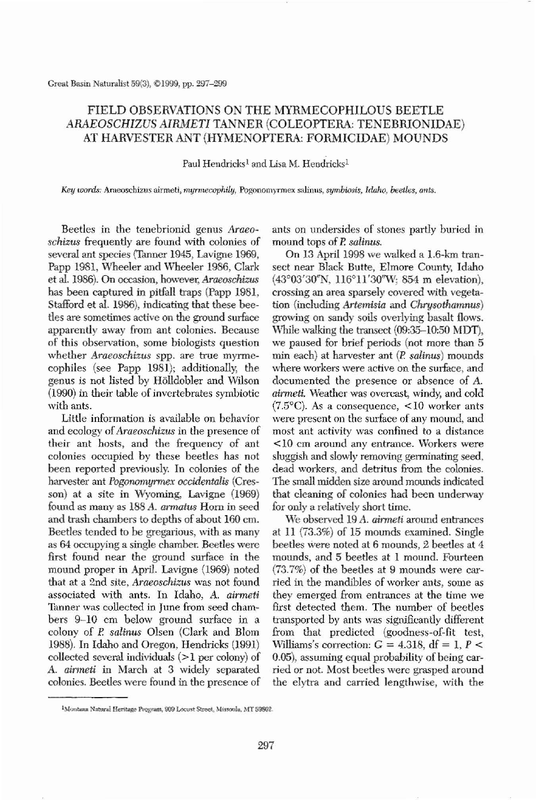Great Basin Naturalist 59(3), ©1999, pp. 297-299

## FIELD OBSERVATIONS ON THE MYRMECOPHILOUS BEETLE *ARAEOSCHIZUS AIRMETl* TANNER (COLEOPTERA: TENEBRIONIDAE) AT HARVESTER ANT (HYMENOPTERA: FORMICIDAE) MOUNDS

Paul Hendricks<sup>1</sup> and Lisa M. Hendricks<sup>1</sup>

*Key* wo~; Araeoschizus airmeti, *mymu::cophily,* Pogooomyrmex salinus, *symbiosis, Idaho, beetles, ants.*

Beetles in the tenebrionid genus *Amea-8chizus* frequently are found with colonies of several ant species (Tanner 1945, Lavigne 1969, Papp 1981, Wheeler and Wheeler 1986, Clark et aI. 1986). On occasion, however, *Araeoschizus* has been captured in pitfall traps (Papp 1981, Stafford et aI. 1986), indicating that these beetles are sometimes active on the ground surface apparently away from ant colonies. Because of this observation, some biologists question whether *Araeoschizus* spp. are true myrmecophiles (see Papp 1981); additionally, the genus is not listed by Holldobler and Wilson (1990) in their table of invertebrates symbiotic with ants. Little information is available on behavior and ecology of*Araeoschizus* in the presence of their ant hosts, and the frequency of ant colonies occupied by these beetles has not been reported previously. In colonies of the harvester ant *Pogonomyrmex occidentalis* (Cresson) at a site in Wyoming, Lavigne (1969) found as many *as* 188 A. *annalus* Hom in seed and trash chambers to depths of about 160 em. Beetles tended to be gregarious, with as many *as* 64 occupying a single chamber. Beetles were first found near the ground surface in the mound proper in April. Lavigne (1969) noted that at a 2nd site, *Araeoschizus* was not found associated with ants. In Idaho, A. *airmeti* Tanner was collected in June from seed chambers 9–10 cm below ground surface in a colony of E *saUnus* Olsen (Clark and Blom 1988). In Idaho and Oregon, Hendricks (1991) collected several individuals  $(>1$  per colony) of A. *airmeti* in March at 3 widely separated colonies. Beetles were found in the presence of

We observed 19 *A. airmeti* around entrances at 11 (73.3%) of 15 mounds examined. Single beetles were noted at 6 mounds, 2 beetles at 4 mounds, and 5 beetles at I mound. Fourteen (73.7%) of the beetles at 9 mounds were carried in the mandibles of worker ants, some *as* they emerged from entrances at the time we first detected them. The number of beetles transported by ants was significantly different from that predicted (goodness-of-fit test, Williams's correction:  $G = 4.318$ , df = 1, P < 0.05), assuming equal probability of being carried or not. Most beetles were grasped around the elytra and carried lengthwise, with the

ants on undersides of stones partly buried in mound tops of *E salinus.*

On 13 April 1998 we walked a L6-km transect near Black Butte, Elmore County, Idaho  $(43^{\circ}03'30''N, 116^{\circ}11'30''W; 854 \text{ m elevation})$ , crossing an area sparsely covered with vegetation (including *Artemisia* and *Chrysothamnus)* growing on sandy soils overlying basalt flows. While walking the transect (09:35-10:50 MDT), we paused for brief periods (not more than 5 min each) at harvester ant (*P. salinus*) mounds where workers were active on the surface, and documented tbe presence or absence of A. *airmeti.* Weather was overcast, windy, and cold (7.5 $^{\circ}$ C). As a consequence, <10 worker ants were present on the surface of any mound, and most ant activity was confined to a distance <10 em around any entrance. \Vorkers were sluggish and slowly removing germinating seed, dead workers, and detritus from the colonies. The small midden size around mounds indicated that cleaning of colonies had been underway for only a relatively short time.



<sup>&</sup>lt;sup>1</sup>Montana Natural Heritage Program, 909 Locust Street, Missoula, MT 59802.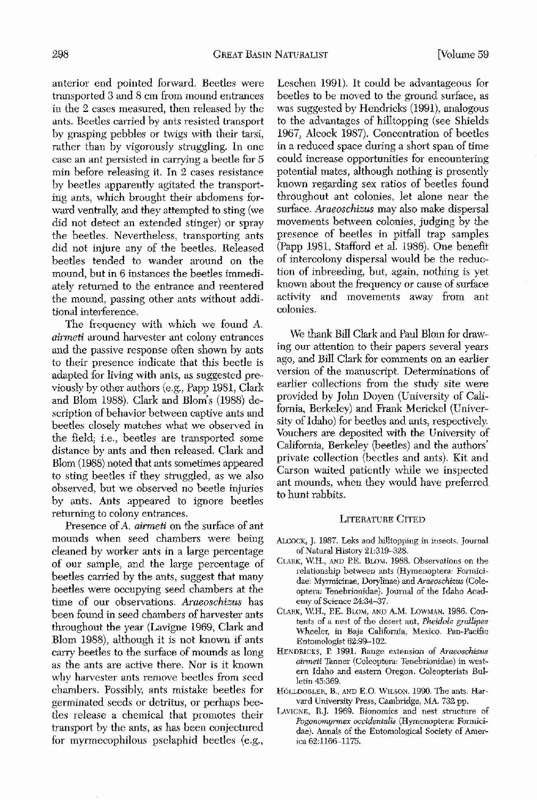**anterior end pointed forward, Beetles were transported 3 and 8 em from mound entrances** in the 2 cases measured, then released by the **ants. Beetles carried by ants resisted transport** by grasping pebbles or twigs with their tarsi, rather than by vigorously struggling. In one **case an ant persisted in carrying a beetle for 5 min hefore releasing it. In 2 cases resistance** by beetles apparently agitated the transporting ants, which brought their abdomens forward ventrally, and they attempted to sting (we did not detect an extended stinger) or spray the beetles. Nevertheless, transporting ants did not injure any of the beetles. Released beetles tended to wander around on the **mound, but in 6 instances the beetles immediately returned to the entrance and reentered** tbe monnd, passing other ants without addi**tional interference.**

The frequency with which we found A. *airmeti* **around harvester ant colony entrances** and the passive response often shown by ants to their presence indicate that this beetle is adapted for living with ants, as suggested previously by other authors (e.g., Papp 1981, Clark and Blom 1988). Clark and Blorn's (1988) description of behavior between captive ants and **beetles closely matches what we observed in** the field; i.e., beetles are transported some distance by ants and then released. Clark and Blom (1988) noted that ants sometimes appeared to sting beetles if they struggled, as we also **observed, but "ve observed no beetle injuries** by ants. Ants appeared to ignore beetles **returning to colony entrances. Presence ofA, airmeti on the surface of ant mounds when seed chambers were being** cleaned by worker ants in a large percentage of our sample, and the large percentage of beetles carried by the ants, suggest that many beetles were occupying seed chambers at the **time of our observations.** *Araeoschizus* **has** been found in seed chambers of harvester ants throughout the year (Lavigne 1969, Clark and Blom 1988), although it is not known if ants carry beetles to the surface of mounds as long **as the ants are active there. Nor is it known why harvester ants remove beetles from seed** chambers. Possibly, ants mistake beetles for germinated seeds or detritus, or perhaps beetles release a chemical that promotes their

- **ALCOCK, ), 1987. Leks and hilltopping in insects. Journal** of Natural **History 21:319--328.**
- **CLARK, W.H., AND P.E. BLOM. 1988. Observations on the relationship** between ants (Hymenoptera: Formici**dae: Myrmicinae, Dorylinae) and** *Ameoschizus* (Cole~ **optera: Tenebrionidae). Journal of the Idaho Academy of Science 24:34-37.**
- **CLlI.RK, WH., BE. BLOM, AND A,M. LoWMAN. 1986. Cou" tents of a nest of the desert ant,** *Pheidole grallipes* **Wheeler, in Baja California, Mexico. Pan-Pacific Entomologist 62:99-102.**
- **HENDRICKS, P. 1991. Range extension of** *Araeoschizus airmeti* **Tanner (Coleoptera: 1tmebrionidae) in westem Idaho and eastern Oregon. Coleopterists Bulletin 45:369.**
- **HOLLDOBLER, B., AND E,O. WILSON. 1990. The ants. Harvard University Press, Cambridge, j'viA. 732 pp.**
- LAVIGNE, R.J. 1969. Bionomics and nest structure of

# transport by the ants, as has been conjectured for myrmecophilous pselaphid beetles (e.g.,

Leschen 1991). It could be advantageous for beetles to be moved to the ground surface, as was suggested by Hendricks (1991), analogous to the advantages of hilltopping (see Shields 1967, Alcock 1987). Concentration of beetles **in a reduced space during a short span of time could increase opportunities for encountering** potential mates, althongh nothing is presently known regarding sex ratios of beetles found throughout ant colonies, let alone near the snrface. *Araeoschizus* may also make dispersal movements between colonies, judging by the presence of beetles in pitfall trap samples (Papp 1981, Stafford et al. 1986). One benefit of intercolony dispersal would be the reduction of inbreeding, but, again, nothing is yet known about the frequency or cause of surface **activity and movements away from ant colonies.**

We thank Bill Clark and Paul Blom for draw**ing our attention to their papers several years** ago, and Bill Clark for comments on an earlier **version of the manuscript. Determinations of** earlier collections from the study site were provided by John Doyen (University of California, Berkeley) and Frank Merickel (University of Idaho) for beetles and ants, respectively. Vouchers are deposited with the University of California, Berkeley (beetles) and the authors' private collection (beetles and ants). Kit and Carson waited patiently while we inspected ant mounds, when they would have preferred to hunt rabbits.

## LITERATURE CITED

*Pogonomyrmex occidentalis* **(Hymenoptera:** Formici~ **dae). Annals of the Entomological Society of** Amer~ **lea 62:1166-1175.**